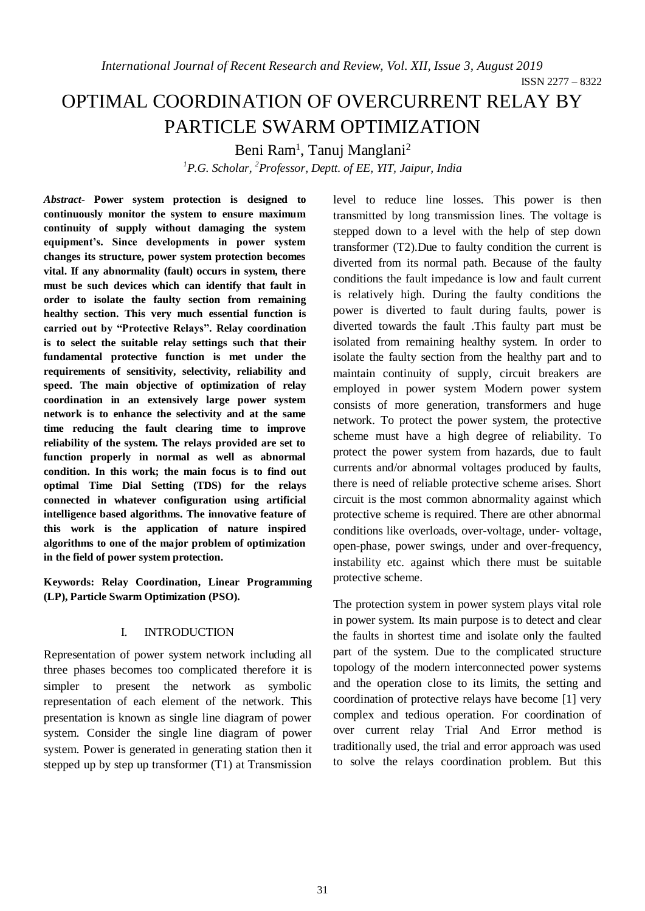# OPTIMAL COORDINATION OF OVERCURRENT RELAY BY PARTICLE SWARM OPTIMIZATION

Beni Ram<sup>1</sup>, Tanuj Manglani<sup>2</sup>

*<sup>1</sup>P.G. Scholar, <sup>2</sup>Professor, Deptt. of EE, YIT, Jaipur, India*

*Abstract-* **Power system protection is designed to continuously monitor the system to ensure maximum continuity of supply without damaging the system equipment's. Since developments in power system changes its structure, power system protection becomes vital. If any abnormality (fault) occurs in system, there must be such devices which can identify that fault in order to isolate the faulty section from remaining healthy section. This very much essential function is carried out by "Protective Relays". Relay coordination is to select the suitable relay settings such that their fundamental protective function is met under the requirements of sensitivity, selectivity, reliability and speed. The main objective of optimization of relay coordination in an extensively large power system network is to enhance the selectivity and at the same time reducing the fault clearing time to improve reliability of the system. The relays provided are set to function properly in normal as well as abnormal condition. In this work; the main focus is to find out optimal Time Dial Setting (TDS) for the relays connected in whatever configuration using artificial intelligence based algorithms. The innovative feature of this work is the application of nature inspired algorithms to one of the major problem of optimization in the field of power system protection.** 

**Keywords: Relay Coordination, Linear Programming (LP), Particle Swarm Optimization (PSO).**

## I. INTRODUCTION

Representation of power system network including all three phases becomes too complicated therefore it is simpler to present the network as symbolic representation of each element of the network. This presentation is known as single line diagram of power system. Consider the single line diagram of power system. Power is generated in generating station then it stepped up by step up transformer (T1) at Transmission level to reduce line losses. This power is then transmitted by long transmission lines. The voltage is stepped down to a level with the help of step down transformer (T2).Due to faulty condition the current is diverted from its normal path. Because of the faulty conditions the fault impedance is low and fault current is relatively high. During the faulty conditions the power is diverted to fault during faults, power is diverted towards the fault .This faulty part must be isolated from remaining healthy system. In order to isolate the faulty section from the healthy part and to maintain continuity of supply, circuit breakers are employed in power system Modern power system consists of more generation, transformers and huge network. To protect the power system, the protective scheme must have a high degree of reliability. To protect the power system from hazards, due to fault currents and/or abnormal voltages produced by faults, there is need of reliable protective scheme arises. Short circuit is the most common abnormality against which protective scheme is required. There are other abnormal conditions like overloads, over-voltage, under- voltage, open-phase, power swings, under and over-frequency, instability etc. against which there must be suitable protective scheme.

The protection system in power system plays vital role in power system. Its main purpose is to detect and clear the faults in shortest time and isolate only the faulted part of the system. Due to the complicated structure topology of the modern interconnected power systems and the operation close to its limits, the setting and coordination of protective relays have become [1] very complex and tedious operation. For coordination of over current relay Trial And Error method is traditionally used, the trial and error approach was used to solve the relays coordination problem. But this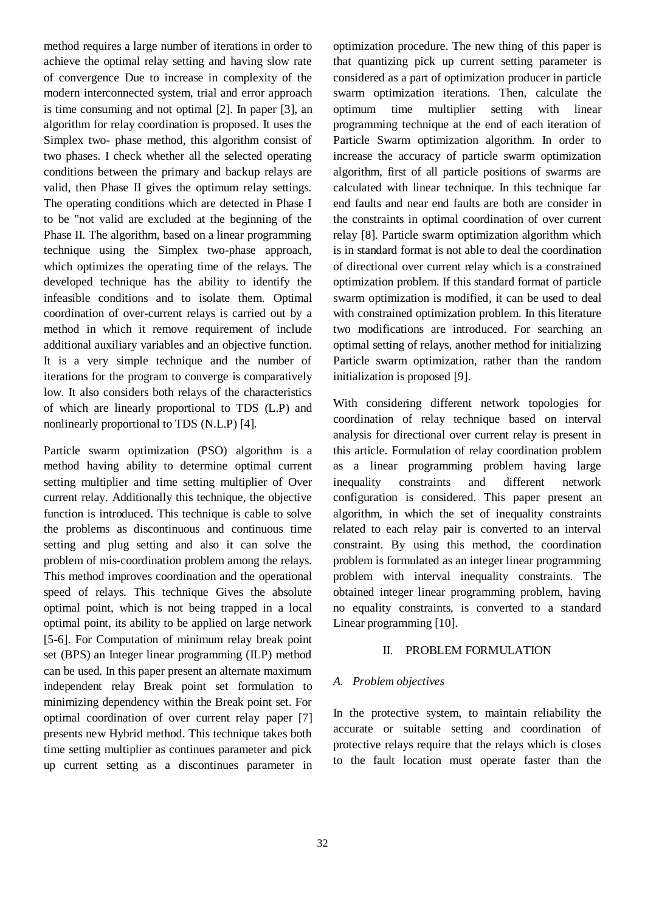method requires a large number of iterations in order to achieve the optimal relay setting and having slow rate of convergence Due to increase in complexity of the modern interconnected system, trial and error approach is time consuming and not optimal [2]. In paper [3], an algorithm for relay coordination is proposed. It uses the Simplex two- phase method, this algorithm consist of two phases. I check whether all the selected operating conditions between the primary and backup relays are valid, then Phase II gives the optimum relay settings. The operating conditions which are detected in Phase I to be "not valid are excluded at the beginning of the Phase II. The algorithm, based on a linear programming technique using the Simplex two-phase approach, which optimizes the operating time of the relays. The developed technique has the ability to identify the infeasible conditions and to isolate them. Optimal coordination of over-current relays is carried out by a method in which it remove requirement of include additional auxiliary variables and an objective function. It is a very simple technique and the number of iterations for the program to converge is comparatively low. It also considers both relays of the characteristics of which are linearly proportional to TDS (L.P) and nonlinearly proportional to TDS (N.L.P) [4].

Particle swarm optimization (PSO) algorithm is a method having ability to determine optimal current setting multiplier and time setting multiplier of Over current relay. Additionally this technique, the objective function is introduced. This technique is cable to solve the problems as discontinuous and continuous time setting and plug setting and also it can solve the problem of mis-coordination problem among the relays. This method improves coordination and the operational speed of relays. This technique Gives the absolute optimal point, which is not being trapped in a local optimal point, its ability to be applied on large network [5-6]. For Computation of minimum relay break point set (BPS) an Integer linear programming (ILP) method can be used. In this paper present an alternate maximum independent relay Break point set formulation to minimizing dependency within the Break point set. For optimal coordination of over current relay paper [7] presents new Hybrid method. This technique takes both time setting multiplier as continues parameter and pick up current setting as a discontinues parameter in optimization procedure. The new thing of this paper is that quantizing pick up current setting parameter is considered as a part of optimization producer in particle swarm optimization iterations. Then, calculate the optimum time multiplier setting with linear programming technique at the end of each iteration of Particle Swarm optimization algorithm. In order to increase the accuracy of particle swarm optimization algorithm, first of all particle positions of swarms are calculated with linear technique. In this technique far end faults and near end faults are both are consider in the constraints in optimal coordination of over current relay [8]. Particle swarm optimization algorithm which is in standard format is not able to deal the coordination of directional over current relay which is a constrained optimization problem. If this standard format of particle swarm optimization is modified, it can be used to deal with constrained optimization problem. In this literature two modifications are introduced. For searching an optimal setting of relays, another method for initializing Particle swarm optimization, rather than the random initialization is proposed [9].

With considering different network topologies for coordination of relay technique based on interval analysis for directional over current relay is present in this article. Formulation of relay coordination problem as a linear programming problem having large inequality constraints and different network configuration is considered. This paper present an algorithm, in which the set of inequality constraints related to each relay pair is converted to an interval constraint. By using this method, the coordination problem is formulated as an integer linear programming problem with interval inequality constraints. The obtained integer linear programming problem, having no equality constraints, is converted to a standard Linear programming [10].

## II. PROBLEM FORMULATION

# *A. Problem objectives*

In the protective system, to maintain reliability the accurate or suitable setting and coordination of protective relays require that the relays which is closes to the fault location must operate faster than the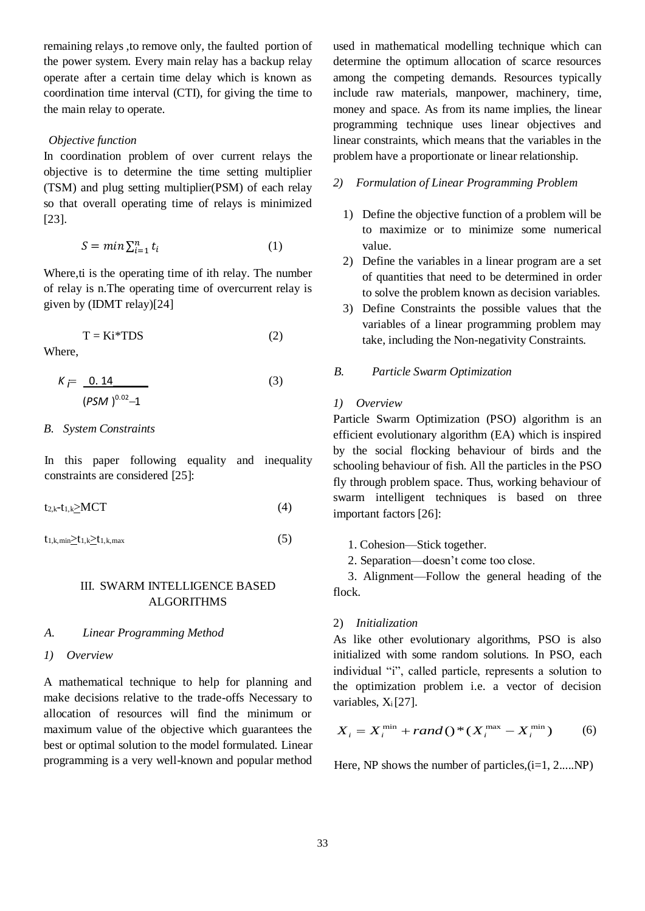remaining relays ,to remove only, the faulted portion of the power system. Every main relay has a backup relay operate after a certain time delay which is known as coordination time interval (CTI), for giving the time to the main relay to operate.

# *Objective function*

In coordination problem of over current relays the objective is to determine the time setting multiplier (TSM) and plug setting multiplier(PSM) of each relay so that overall operating time of relays is minimized [23].

$$
S = \min \sum_{i=1}^{n} t_i
$$
 (1)

Where, ti is the operating time of ith relay. The number of relay is n.The operating time of overcurrent relay is given by (IDMT relay)[24]

$$
T = Ki^* TDS \tag{2}
$$

Where,

$$
K = \frac{0.14}{(PSM)^{0.02} - 1}
$$
 (3)

## *B. System Constraints*

In this paper following equality and inequality constraints are considered [25]:

$$
t_{2,k}-t_{1,k}\geq MCT
$$
 (4)

 $t_{1,k,\text{min}} \geq t_{1,k} \geq t_{1,k,\text{max}}$  (5)

## III. SWARM INTELLIGENCE BASED **ALGORITHMS**

## *A. Linear Programming Method*

*1) Overview*

A mathematical technique to help for planning and make decisions relative to the trade-offs Necessary to allocation of resources will find the minimum or maximum value of the objective which guarantees the best or optimal solution to the model formulated. Linear programming is a very well-known and popular method used in mathematical modelling technique which can determine the optimum allocation of scarce resources among the competing demands. Resources typically include raw materials, manpower, machinery, time, money and space. As from its name implies, the linear programming technique uses linear objectives and linear constraints, which means that the variables in the problem have a proportionate or linear relationship.

# *2) Formulation of Linear Programming Problem*

- 1) Define the objective function of a problem will be to maximize or to minimize some numerical value.
- 2) Define the variables in a linear program are a set of quantities that need to be determined in order to solve the problem known as decision variables.
- 3) Define Constraints the possible values that the variables of a linear programming problem may take, including the Non-negativity Constraints.

## *B. Particle Swarm Optimization*

## *1) Overview*

Particle Swarm Optimization (PSO) algorithm is an efficient evolutionary algorithm (EA) which is inspired by the social flocking behaviour of birds and the schooling behaviour of fish. All the particles in the PSO fly through problem space. Thus, working behaviour of swarm intelligent techniques is based on three important factors [26]:

1. Cohesion—Stick together.

2. Separation—doesn't come too close.

3. Alignment—Follow the general heading of the flock.

## 2) *Initialization*

As like other evolutionary algorithms, PSO is also initialized with some random solutions. In PSO, each individual "i", called particle, represents a solution to the optimization problem i.e. a vector of decision variables,  $X_i[27]$ .

$$
X_i = X_i^{\min} + rand() * (X_i^{\max} - X_i^{\min})
$$
 (6)

Here, NP shows the number of particles, $(i=1, 2,...NP)$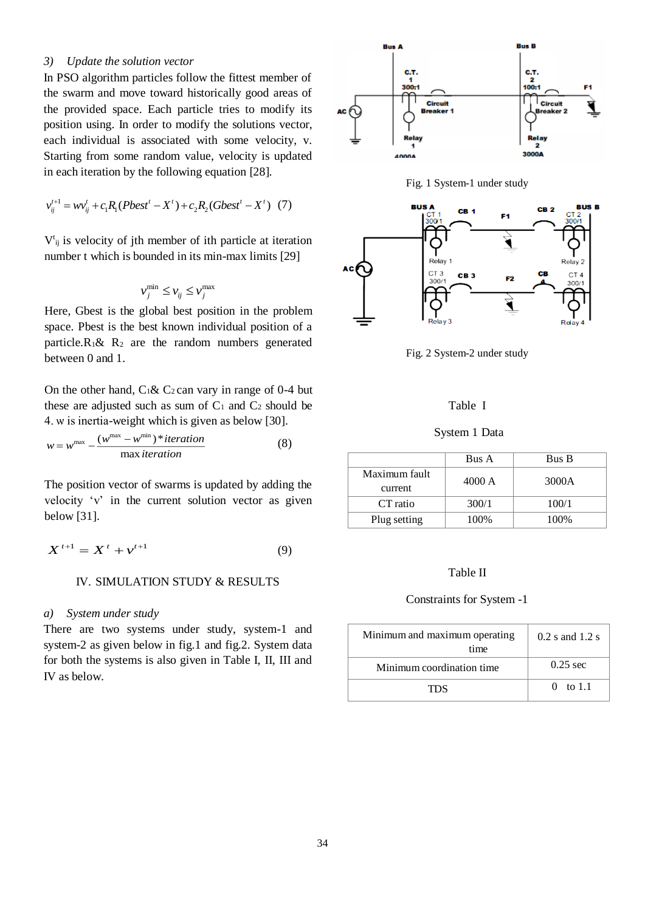## *3) Update the solution vector*

In PSO algorithm particles follow the fittest member of the swarm and move toward historically good areas of the provided space. Each particle tries to modify its position using. In order to modify the solutions vector, each individual is associated with some velocity, v. Starting from some random value, velocity is updated in each iteration by the following equation [28].

$$
v_{ij}^{t+1} = w v_{ij}^t + c_1 R_1 (Pbest^t - X^t) + c_2 R_2 (Gbest^t - X^t) (7)
$$

 $V_{ij}$  is velocity of jth member of ith particle at iteration number t which is bounded in its min-max limits [29]

$$
v_j^{\min} \le v_{ij} \le v_j^{\max}
$$

Here, Gbest is the global best position in the problem space. Pbest is the best known individual position of a particle. $R_1 \& R_2$  are the random numbers generated between 0 and 1.

On the other hand,  $C_1 \& C_2$  can vary in range of 0-4 but these are adjusted such as sum of  $C_1$  and  $C_2$  should be 4. ѡ is inertia-weight which is given as below [30].

$$
w = w^{\max} - \frac{(w^{\max} - w^{\min}) * iteration}{\max iteration}
$$
 (8)

The position vector of swarms is updated by adding the velocity 'v' in the current solution vector as given below [31].

$$
X^{t+1} = X^t + v^{t+1} \tag{9}
$$

## IV. SIMULATION STUDY & RESULTS

#### *a) System under study*

There are two systems under study, system-1 and system-2 as given below in fig.1 and fig.2. System data for both the systems is also given in Table I, II, III and IV as below.







Fig. 2 System-2 under study

#### Table I

## System 1 Data

|                          | Bus A  | Bus B |  |  |
|--------------------------|--------|-------|--|--|
| Maximum fault<br>current | 4000 A | 3000A |  |  |
| CT ratio                 | 300/1  | 100/1 |  |  |
| Plug setting             | 100%   | 100%  |  |  |

#### Table II

## Constraints for System -1

| Minimum and maximum operating<br>time | $0.2$ s and $1.2$ s |  |  |  |
|---------------------------------------|---------------------|--|--|--|
| Minimum coordination time             | $0.25$ sec          |  |  |  |
| TDS.                                  | 0 to 1.1            |  |  |  |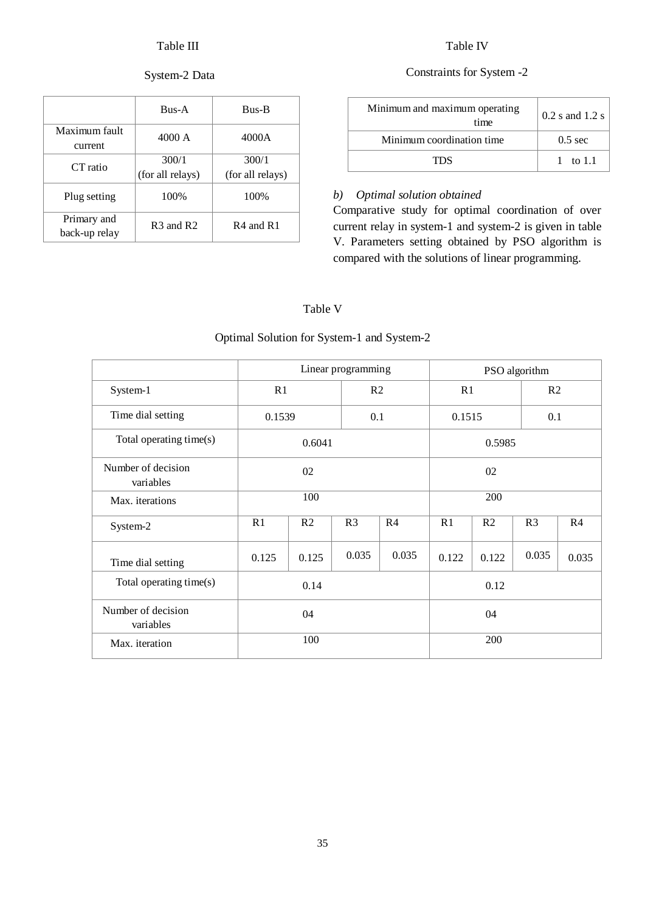# Table III

# System-2 Data

|                              | $B$ us-A                          | <b>Bus-B</b>              |  |  |
|------------------------------|-----------------------------------|---------------------------|--|--|
| Maximum fault<br>current     | 4000 A                            | 4000A                     |  |  |
| CT ratio                     | 300/1<br>(for all relays)         | 300/1<br>(for all relays) |  |  |
| Plug setting                 | 100%                              | 100%                      |  |  |
| Primary and<br>back-up relay | R <sub>3</sub> and R <sub>2</sub> | R4 and R1                 |  |  |

# Table IV

# Constraints for System -2

| Minimum and maximum operating<br>time | $0.2$ s and $1.2$ s |  |  |
|---------------------------------------|---------------------|--|--|
| Minimum coordination time             | $0.5 \text{ sec}$   |  |  |
| TDS.                                  | 1 to 1.1            |  |  |

## *b) Optimal solution obtained*

Comparative study for optimal coordination of over current relay in system-1 and system-2 is given in table V. Parameters setting obtained by PSO algorithm is compared with the solutions of linear programming.

# Table V

# Optimal Solution for System-1 and System-2

|                                 | Linear programming |                |                | PSO algorithm  |       |                |                |                |  |
|---------------------------------|--------------------|----------------|----------------|----------------|-------|----------------|----------------|----------------|--|
| System-1                        | R1                 |                |                | R2             |       | R1             |                | R2             |  |
| Time dial setting               | 0.1539             |                |                | 0.1            |       | 0.1515         |                | 0.1            |  |
| Total operating time(s)         | 0.6041             |                |                | 0.5985         |       |                |                |                |  |
| Number of decision<br>variables | 02                 |                |                | 02             |       |                |                |                |  |
| Max. iterations                 | 100                |                |                | 200            |       |                |                |                |  |
| System-2                        | R1                 | R <sub>2</sub> | R <sub>3</sub> | R <sub>4</sub> | R1    | R <sub>2</sub> | R <sub>3</sub> | R <sub>4</sub> |  |
| Time dial setting               | 0.125              | 0.125          | 0.035          | 0.035          | 0.122 | 0.122          | 0.035          | 0.035          |  |
| Total operating time(s)         | 0.14               |                |                | 0.12           |       |                |                |                |  |
| Number of decision<br>variables | 04                 |                |                | 04             |       |                |                |                |  |
| Max. iteration                  | 100                |                |                | 200            |       |                |                |                |  |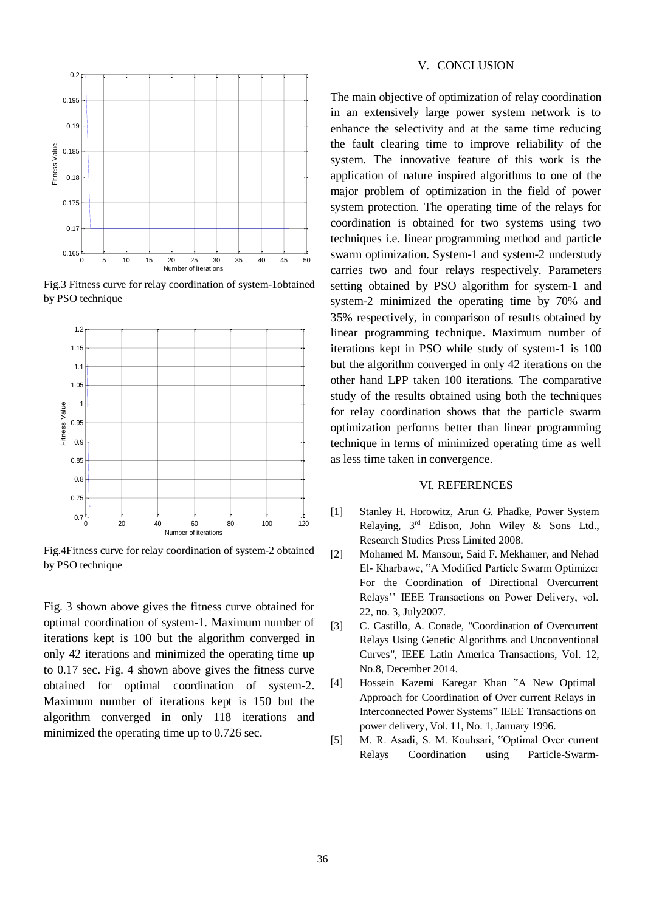

Fig.3 Fitness curve for relay coordination of system-1obtained by PSO technique



Fig.4Fitness curve for relay coordination of system-2 obtained by PSO technique

Fig. 3 shown above gives the fitness curve obtained for optimal coordination of system-1. Maximum number of iterations kept is 100 but the algorithm converged in only 42 iterations and minimized the operating time up to 0.17 sec. Fig. 4 shown above gives the fitness curve obtained for optimal coordination of system-2. Maximum number of iterations kept is 150 but the algorithm converged in only 118 iterations and minimized the operating time up to 0.726 sec.

## V. CONCLUSION

The main objective of optimization of relay coordination in an extensively large power system network is to enhance the selectivity and at the same time reducing the fault clearing time to improve reliability of the system. The innovative feature of this work is the application of nature inspired algorithms to one of the major problem of optimization in the field of power system protection. The operating time of the relays for coordination is obtained for two systems using two techniques i.e. linear programming method and particle swarm optimization. System-1 and system-2 understudy carries two and four relays respectively. Parameters setting obtained by PSO algorithm for system-1 and system-2 minimized the operating time by 70% and 35% respectively, in comparison of results obtained by linear programming technique. Maximum number of iterations kept in PSO while study of system-1 is 100 but the algorithm converged in only 42 iterations on the other hand LPP taken 100 iterations. The comparative study of the results obtained using both the techniques for relay coordination shows that the particle swarm optimization performs better than linear programming technique in terms of minimized operating time as well as less time taken in convergence.

## VI. REFERENCES

- [1] Stanley H. Horowitz, Arun G. Phadke, Power System Relaying, 3rd Edison, John Wiley & Sons Ltd., Research Studies Press Limited 2008.
- [2] Mohamed M. Mansour, Said F. Mekhamer, and Nehad El- Kharbawe, "A Modified Particle Swarm Optimizer For the Coordination of Directional Overcurrent Relays'' IEEE Transactions on Power Delivery, vol. 22, no. 3, July2007.
- [3] C. Castillo, A. Conade, "Coordination of Overcurrent Relays Using Genetic Algorithms and Unconventional Curves", IEEE Latin America Transactions, Vol. 12, No.8, December 2014.
- [4] Hossein Kazemi Karegar Khan "A New Optimal Approach for Coordination of Over current Relays in Interconnected Power Systems" IEEE Transactions on power delivery, Vol. 11, No. 1, January 1996.
- [5] M. R. Asadi, S. M. Kouhsari, "Optimal Over current Relays Coordination using Particle-Swarm-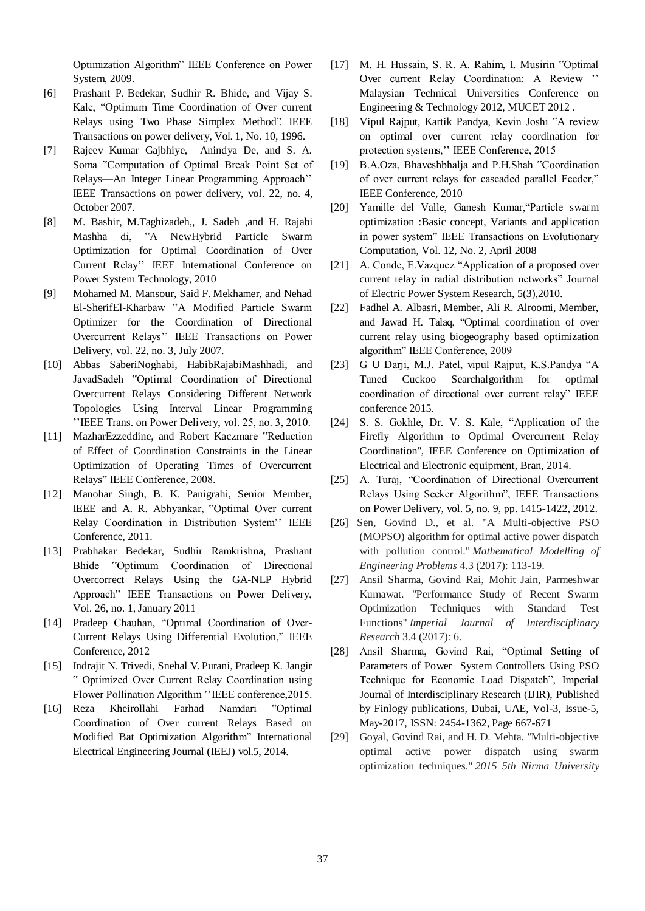Optimization Algorithm" IEEE Conference on Power System, 2009.

- [6] Prashant P. Bedekar, Sudhir R. Bhide, and Vijay S. Kale, "Optimum Time Coordination of Over current Relays using Two Phase Simplex Method". IEEE Transactions on power delivery, Vol. 1, No. 10, 1996.
- [7] Rajeev Kumar Gajbhiye, Anindya De, and S. A. Soma "Computation of Optimal Break Point Set of Relays—An Integer Linear Programming Approach'' IEEE Transactions on power delivery, vol. 22, no. 4, October 2007.
- [8] M. Bashir, M.Taghizadeh,, J. Sadeh ,and H. Rajabi Mashha di, "A NewHybrid Particle Swarm Optimization for Optimal Coordination of Over Current Relay'' IEEE International Conference on Power System Technology, 2010
- [9] Mohamed M. Mansour, Said F. Mekhamer, and Nehad El-SherifEl-Kharbaw "A Modified Particle Swarm Optimizer for the Coordination of Directional Overcurrent Relays'' IEEE Transactions on Power Delivery, vol. 22, no. 3, July 2007.
- [10] Abbas SaberiNoghabi, HabibRajabiMashhadi, and JavadSadeh "Optimal Coordination of Directional Overcurrent Relays Considering Different Network Topologies Using Interval Linear Programming ''IEEE Trans. on Power Delivery, vol. 25, no. 3, 2010.
- [11] MazharEzzeddine, and Robert Kaczmare "Reduction of Effect of Coordination Constraints in the Linear Optimization of Operating Times of Overcurrent Relays" IEEE Conference, 2008.
- [12] Manohar Singh, B. K. Panigrahi, Senior Member, IEEE and A. R. Abhyankar, "Optimal Over current Relay Coordination in Distribution System'' IEEE Conference, 2011.
- [13] Prabhakar Bedekar, Sudhir Ramkrishna, Prashant Bhide "Optimum Coordination of Directional Overcorrect Relays Using the GA-NLP Hybrid Approach" IEEE Transactions on Power Delivery, Vol. 26, no. 1, January 2011
- [14] Pradeep Chauhan, "Optimal Coordination of Over-Current Relays Using Differential Evolution," IEEE Conference, 2012
- [15] Indrajit N. Trivedi, Snehal V. Purani, Pradeep K. Jangir " Optimized Over Current Relay Coordination using Flower Pollination Algorithm ''IEEE conference,2015.
- [16] Reza Kheirollahi Farhad Namdari "Optimal Coordination of Over current Relays Based on Modified Bat Optimization Algorithm" International Electrical Engineering Journal (IEEJ) vol.5, 2014.
- [17] M. H. Hussain, S. R. A. Rahim, I. Musirin "Optimal Over current Relay Coordination: A Review '' Malaysian Technical Universities Conference on Engineering & Technology 2012, MUCET 2012 .
- [18] Vipul Rajput, Kartik Pandya, Kevin Joshi "A review on optimal over current relay coordination for protection systems,'' IEEE Conference, 2015
- [19] B.A.Oza, Bhaveshbhalja and P.H.Shah "Coordination of over current relays for cascaded parallel Feeder," IEEE Conference, 2010
- [20] Yamille del Valle, Ganesh Kumar,"Particle swarm optimization :Basic concept, Variants and application in power system" IEEE Transactions on Evolutionary Computation, Vol. 12, No. 2, April 2008
- [21] A. Conde, E.Vazquez "Application of a proposed over current relay in radial distribution networks" Journal of Electric Power System Research, 5(3),2010.
- [22] Fadhel A. Albasri, Member, Ali R. Alroomi, Member, and Jawad H. Talaq, "Optimal coordination of over current relay using biogeography based optimization algorithm" IEEE Conference, 2009
- [23] G U Darji, M.J. Patel, vipul Rajput, K.S.Pandya "A Tuned Cuckoo Searchalgorithm for optimal coordination of directional over current relay" IEEE conference 2015.
- [24] S. S. Gokhle, Dr. V. S. Kale, "Application of the Firefly Algorithm to Optimal Overcurrent Relay Coordination", IEEE Conference on Optimization of Electrical and Electronic equipment, Bran, 2014.
- [25] A. Turaj, "Coordination of Directional Overcurrent Relays Using Seeker Algorithm", IEEE Transactions on Power Delivery, vol. 5, no. 9, pp. 1415-1422, 2012.
- [26] Sen, Govind D., et al. "A Multi-objective PSO (MOPSO) algorithm for optimal active power dispatch with pollution control." *Mathematical Modelling of Engineering Problems* 4.3 (2017): 113-19.
- [27] Ansil Sharma, Govind Rai, Mohit Jain, Parmeshwar Kumawat. "Performance Study of Recent Swarm Optimization Techniques with Standard Test Functions" *Imperial Journal of Interdisciplinary Research* 3.4 (2017): 6.
- [28] Ansil Sharma, Govind Rai, "Optimal Setting of Parameters of Power System Controllers Using PSO Technique for Economic Load Dispatch", Imperial Journal of Interdisciplinary Research (IJIR), Published by Finlogy publications, Dubai, UAE, Vol-3, Issue-5, May-2017, ISSN: 2454-1362, Page 667-671
- [29] Goyal, Govind Rai, and H. D. Mehta. "Multi-objective optimal active power dispatch using swarm optimization techniques." *2015 5th Nirma University*